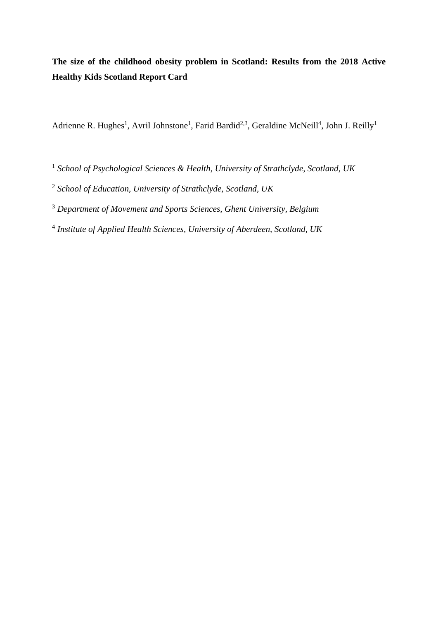**The size of the childhood obesity problem in Scotland: Results from the 2018 Active Healthy Kids Scotland Report Card**

Adrienne R. Hughes<sup>1</sup>, Avril Johnstone<sup>1</sup>, Farid Bardid<sup>2,3</sup>, Geraldine McNeill<sup>4</sup>, John J. Reilly<sup>1</sup>

- <sup>1</sup> *School of Psychological Sciences & Health, University of Strathclyde, Scotland, UK*
- <sup>2</sup> *School of Education, University of Strathclyde, Scotland, UK*
- <sup>3</sup> *Department of Movement and Sports Sciences, Ghent University, Belgium*
- 4 *Institute of Applied Health Sciences, University of Aberdeen, Scotland, UK*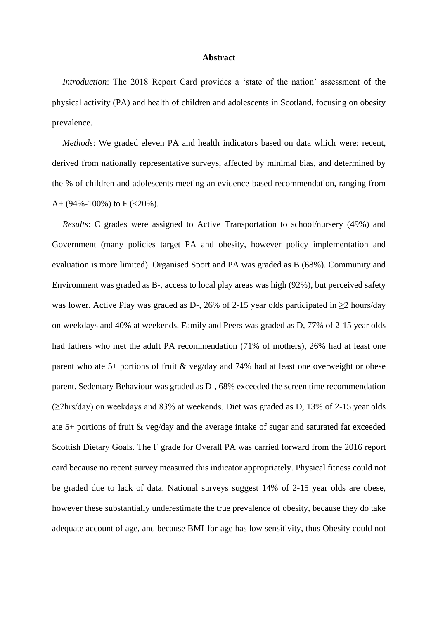## **Abstract**

*Introduction*: The 2018 Report Card provides a 'state of the nation' assessment of the physical activity (PA) and health of children and adolescents in Scotland, focusing on obesity prevalence.

*Methods*: We graded eleven PA and health indicators based on data which were: recent, derived from nationally representative surveys, affected by minimal bias, and determined by the % of children and adolescents meeting an evidence-based recommendation, ranging from A+  $(94\% - 100\%)$  to F  $(<20\%)$ .

*Results*: C grades were assigned to Active Transportation to school/nursery (49%) and Government (many policies target PA and obesity, however policy implementation and evaluation is more limited). Organised Sport and PA was graded as B (68%). Community and Environment was graded as B-, access to local play areas was high (92%), but perceived safety was lower. Active Play was graded as D-, 26% of 2-15 year olds participated in  $\geq$ 2 hours/day on weekdays and 40% at weekends. Family and Peers was graded as D, 77% of 2-15 year olds had fathers who met the adult PA recommendation (71% of mothers), 26% had at least one parent who ate 5+ portions of fruit & veg/day and 74% had at least one overweight or obese parent. Sedentary Behaviour was graded as D-, 68% exceeded the screen time recommendation  $(\geq 2$ hrs/day) on weekdays and 83% at weekends. Diet was graded as D, 13% of 2-15 year olds ate 5+ portions of fruit & veg/day and the average intake of sugar and saturated fat exceeded Scottish Dietary Goals. The F grade for Overall PA was carried forward from the 2016 report card because no recent survey measured this indicator appropriately. Physical fitness could not be graded due to lack of data. National surveys suggest 14% of 2-15 year olds are obese, however these substantially underestimate the true prevalence of obesity, because they do take adequate account of age, and because BMI-for-age has low sensitivity, thus Obesity could not